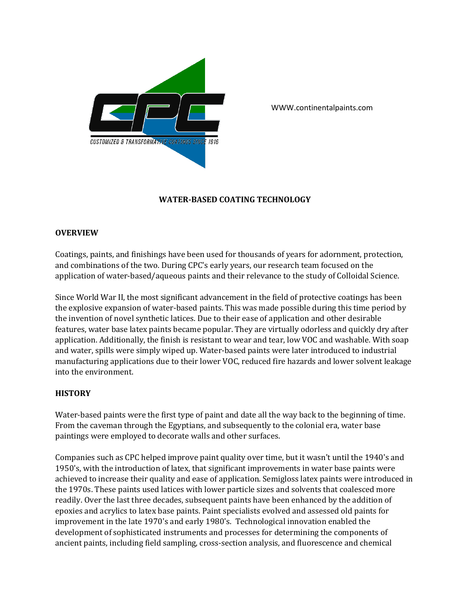

WWW.continentalpaints.com

# **WATER-BASED COATING TECHNOLOGY**

#### **OVERVIEW**

Coatings, paints, and finishings have been used for thousands of years for adornment, protection, and combinations of the two. During CPC's early years, our research team focused on the application of water-based/aqueous paints and their relevance to the study of Colloidal Science.

Since World War II, the most significant advancement in the field of protective coatings has been the explosive expansion of water-based paints. This was made possible during this time period by the invention of novel synthetic latices. Due to their ease of application and other desirable features, water base latex paints became popular. They are virtually odorless and quickly dry after application. Additionally, the finish is resistant to wear and tear, low VOC and washable. With soap and water, spills were simply wiped up. Water-based paints were later introduced to industrial manufacturing applications due to their lower VOC, reduced fire hazards and lower solvent leakage into the environment.

### **HISTORY**

Water-based paints were the first type of paint and date all the way back to the beginning of time. From the caveman through the Egyptians, and subsequently to the colonial era, water base paintings were employed to decorate walls and other surfaces.

Companies such as CPC helped improve paint quality over time, but it wasn't until the 1940's and 1950's, with the introduction of latex, that significant improvements in water base paints were achieved to increase their quality and ease of application. Semigloss latex paints were introduced in the 1970s. These paints used latices with lower particle sizes and solvents that coalesced more readily. Over the last three decades, subsequent paints have been enhanced by the addition of epoxies and acrylics to latex base paints. Paint specialists evolved and assessed old paints for improvement in the late 1970's and early 1980's. Technological innovation enabled the development of sophisticated instruments and processes for determining the components of ancient paints, including field sampling, cross-section analysis, and fluorescence and chemical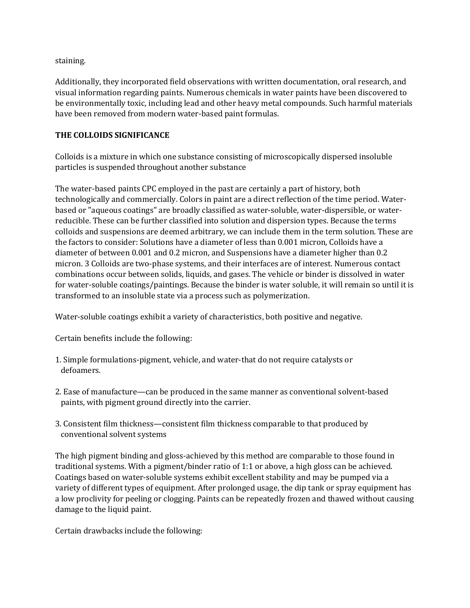staining.

Additionally, they incorporated field observations with written documentation, oral research, and visual information regarding paints. Numerous chemicals in water paints have been discovered to be environmentally toxic, including lead and other heavy metal compounds. Such harmful materials have been removed from modern water-based paint formulas.

# **THE COLLOIDS SIGNIFICANCE**

Colloids is a mixture in which one substance consisting of microscopically dispersed insoluble particles is suspended throughout another substance

The water-based paints CPC employed in the past are certainly a part of history, both technologically and commercially. Colors in paint are a direct reflection of the time period. Waterbased or "aqueous coatings" are broadly classified as water-soluble, water-dispersible, or waterreducible. These can be further classified into solution and dispersion types. Because the terms colloids and suspensions are deemed arbitrary, we can include them in the term solution. These are the factors to consider: Solutions have a diameter of less than 0.001 micron, Colloids have a diameter of between 0.001 and 0.2 micron, and Suspensions have a diameter higher than 0.2 micron. 3 Colloids are two-phase systems, and their interfaces are of interest. Numerous contact combinations occur between solids, liquids, and gases. The vehicle or binder is dissolved in water for water-soluble coatings/paintings. Because the binder is water soluble, it will remain so until it is transformed to an insoluble state via a process such as polymerization.

Water-soluble coatings exhibit a variety of characteristics, both positive and negative.

Certain benefits include the following:

- 1. Simple formulations-pigment, vehicle, and water-that do not require catalysts or defoamers.
- 2. Ease of manufacture—can be produced in the same manner as conventional solvent-based paints, with pigment ground directly into the carrier.
- 3. Consistent film thickness—consistent film thickness comparable to that produced by conventional solvent systems

The high pigment binding and gloss-achieved by this method are comparable to those found in traditional systems. With a pigment/binder ratio of 1:1 or above, a high gloss can be achieved. Coatings based on water-soluble systems exhibit excellent stability and may be pumped via a variety of different types of equipment. After prolonged usage, the dip tank or spray equipment has a low proclivity for peeling or clogging. Paints can be repeatedly frozen and thawed without causing damage to the liquid paint.

Certain drawbacks include the following: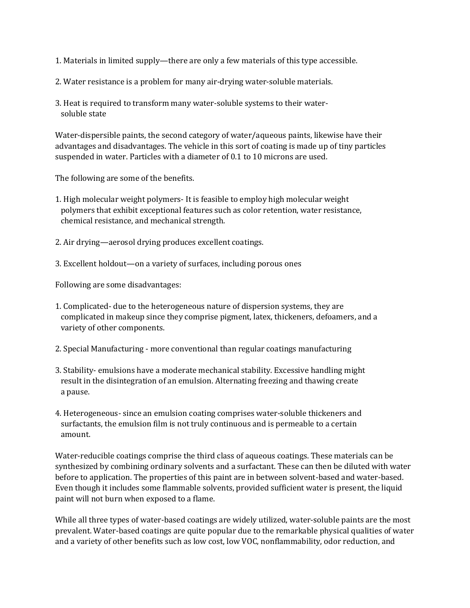- 1. Materials in limited supply—there are only a few materials of this type accessible.
- 2. Water resistance is a problem for many air-drying water-soluble materials.
- 3. Heat is required to transform many water-soluble systems to their watersoluble state

Water-dispersible paints, the second category of water/aqueous paints, likewise have their advantages and disadvantages. The vehicle in this sort of coating is made up of tiny particles suspended in water. Particles with a diameter of 0.1 to 10 microns are used.

The following are some of the benefits.

- 1. High molecular weight polymers- It is feasible to employ high molecular weight polymers that exhibit exceptional features such as color retention, water resistance, chemical resistance, and mechanical strength.
- 2. Air drying—aerosol drying produces excellent coatings.
- 3. Excellent holdout—on a variety of surfaces, including porous ones

Following are some disadvantages:

- 1. Complicated- due to the heterogeneous nature of dispersion systems, they are complicated in makeup since they comprise pigment, latex, thickeners, defoamers, and a variety of other components.
- 2. Special Manufacturing more conventional than regular coatings manufacturing
- 3. Stability- emulsions have a moderate mechanical stability. Excessive handling might result in the disintegration of an emulsion. Alternating freezing and thawing create a pause.
- 4. Heterogeneous- since an emulsion coating comprises water-soluble thickeners and surfactants, the emulsion film is not truly continuous and is permeable to a certain amount.

Water-reducible coatings comprise the third class of aqueous coatings. These materials can be synthesized by combining ordinary solvents and a surfactant. These can then be diluted with water before to application. The properties of this paint are in between solvent-based and water-based. Even though it includes some flammable solvents, provided sufficient water is present, the liquid paint will not burn when exposed to a flame.

While all three types of water-based coatings are widely utilized, water-soluble paints are the most prevalent. Water-based coatings are quite popular due to the remarkable physical qualities of water and a variety of other benefits such as low cost, low VOC, nonflammability, odor reduction, and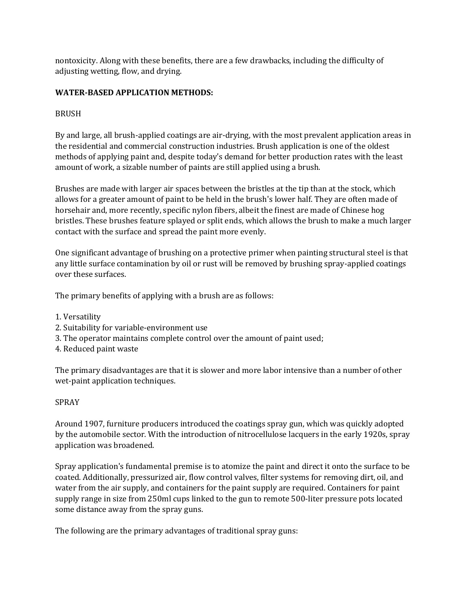nontoxicity. Along with these benefits, there are a few drawbacks, including the difficulty of adjusting wetting, flow, and drying.

# **WATER-BASED APPLICATION METHODS:**

## BRUSH

By and large, all brush-applied coatings are air-drying, with the most prevalent application areas in the residential and commercial construction industries. Brush application is one of the oldest methods of applying paint and, despite today's demand for better production rates with the least amount of work, a sizable number of paints are still applied using a brush.

Brushes are made with larger air spaces between the bristles at the tip than at the stock, which allows for a greater amount of paint to be held in the brush's lower half. They are often made of horsehair and, more recently, specific nylon fibers, albeit the finest are made of Chinese hog bristles. These brushes feature splayed or split ends, which allows the brush to make a much larger contact with the surface and spread the paint more evenly.

One significant advantage of brushing on a protective primer when painting structural steel is that any little surface contamination by oil or rust will be removed by brushing spray-applied coatings over these surfaces.

The primary benefits of applying with a brush are as follows:

- 1. Versatility
- 2. Suitability for variable-environment use
- 3. The operator maintains complete control over the amount of paint used;
- 4. Reduced paint waste

The primary disadvantages are that it is slower and more labor intensive than a number of other wet-paint application techniques.

### SPRAY

Around 1907, furniture producers introduced the coatings spray gun, which was quickly adopted by the automobile sector. With the introduction of nitrocellulose lacquers in the early 1920s, spray application was broadened.

Spray application's fundamental premise is to atomize the paint and direct it onto the surface to be coated. Additionally, pressurized air, flow control valves, filter systems for removing dirt, oil, and water from the air supply, and containers for the paint supply are required. Containers for paint supply range in size from 250ml cups linked to the gun to remote 500-liter pressure pots located some distance away from the spray guns.

The following are the primary advantages of traditional spray guns: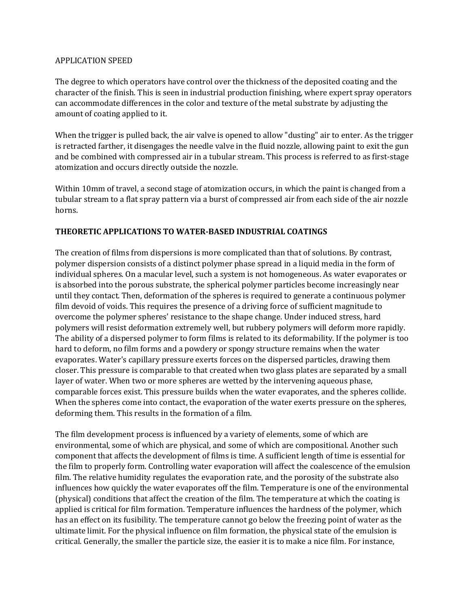#### APPLICATION SPEED

The degree to which operators have control over the thickness of the deposited coating and the character of the finish. This is seen in industrial production finishing, where expert spray operators can accommodate differences in the color and texture of the metal substrate by adjusting the amount of coating applied to it.

When the trigger is pulled back, the air valve is opened to allow "dusting" air to enter. As the trigger is retracted farther, it disengages the needle valve in the fluid nozzle, allowing paint to exit the gun and be combined with compressed air in a tubular stream. This process is referred to as first-stage atomization and occurs directly outside the nozzle.

Within 10mm of travel, a second stage of atomization occurs, in which the paint is changed from a tubular stream to a flat spray pattern via a burst of compressed air from each side of the air nozzle horns.

#### **THEORETIC APPLICATIONS TO WATER-BASED INDUSTRIAL COATINGS**

The creation of films from dispersions is more complicated than that of solutions. By contrast, polymer dispersion consists of a distinct polymer phase spread in a liquid media in the form of individual spheres. On a macular level, such a system is not homogeneous. As water evaporates or is absorbed into the porous substrate, the spherical polymer particles become increasingly near until they contact. Then, deformation of the spheres is required to generate a continuous polymer film devoid of voids. This requires the presence of a driving force of sufficient magnitude to overcome the polymer spheres' resistance to the shape change. Under induced stress, hard polymers will resist deformation extremely well, but rubbery polymers will deform more rapidly. The ability of a dispersed polymer to form films is related to its deformability. If the polymer is too hard to deform, no film forms and a powdery or spongy structure remains when the water evaporates. Water's capillary pressure exerts forces on the dispersed particles, drawing them closer. This pressure is comparable to that created when two glass plates are separated by a small layer of water. When two or more spheres are wetted by the intervening aqueous phase, comparable forces exist. This pressure builds when the water evaporates, and the spheres collide. When the spheres come into contact, the evaporation of the water exerts pressure on the spheres, deforming them. This results in the formation of a film.

The film development process is influenced by a variety of elements, some of which are environmental, some of which are physical, and some of which are compositional. Another such component that affects the development of films is time. A sufficient length of time is essential for the film to properly form. Controlling water evaporation will affect the coalescence of the emulsion film. The relative humidity regulates the evaporation rate, and the porosity of the substrate also influences how quickly the water evaporates off the film. Temperature is one of the environmental (physical) conditions that affect the creation of the film. The temperature at which the coating is applied is critical for film formation. Temperature influences the hardness of the polymer, which has an effect on its fusibility. The temperature cannot go below the freezing point of water as the ultimate limit. For the physical influence on film formation, the physical state of the emulsion is critical. Generally, the smaller the particle size, the easier it is to make a nice film. For instance,